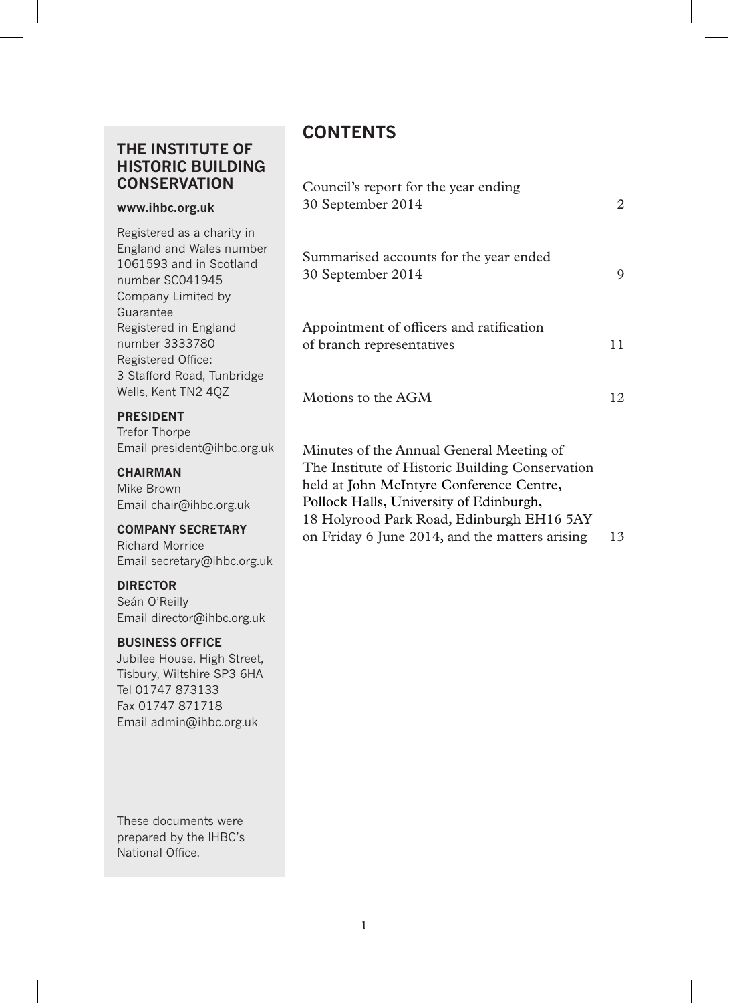## **THE INSTITUTE OF HISTORIC BUILDING CONSERVATION**

#### **www.ihbc.org.uk**

Registered as a charity in England and Wales number 1061593 and in Scotland number SC041945 Company Limited by Guarantee Registered in England number 3333780 Registered Office: 3 Stafford Road, Tunbridge Wells, Kent TN2 4QZ

#### **PRESIDENT**

Trefor Thorpe Email president@ihbc.org.uk

#### **CHAIRMAN**

Mike Brown Email chair@ihbc.org.uk

#### **COMPANY SECRETARY**

Richard Morrice Email secretary@ihbc.org.uk

#### **DIRECTOR**

Seán O'Reilly Email director@ihbc.org.uk

#### **BUSINESS OFFICE**

Jubilee House, High Street, Tisbury, Wiltshire SP3 6HA Tel 01747 873133 Fax 01747 871718 Email admin@ihbc.org.uk

These documents were prepared by the IHBC's National Office.

## **CONTENTS**

| Council's report for the year ending<br>30 September 2014             | 2  |
|-----------------------------------------------------------------------|----|
| Summarised accounts for the year ended<br>30 September 2014           | 9  |
| Appointment of officers and ratification<br>of branch representatives | 11 |
| Motions to the AGM                                                    | 12 |
| Minutes of the Annual General Meeting of                              |    |

The Institute of Historic Building Conservation held at John McIntyre Conference Centre, Pollock Halls, University of Edinburgh, 18 Holyrood Park Road, Edinburgh EH16 5AY on Friday 6 June 2014, and the matters arising 13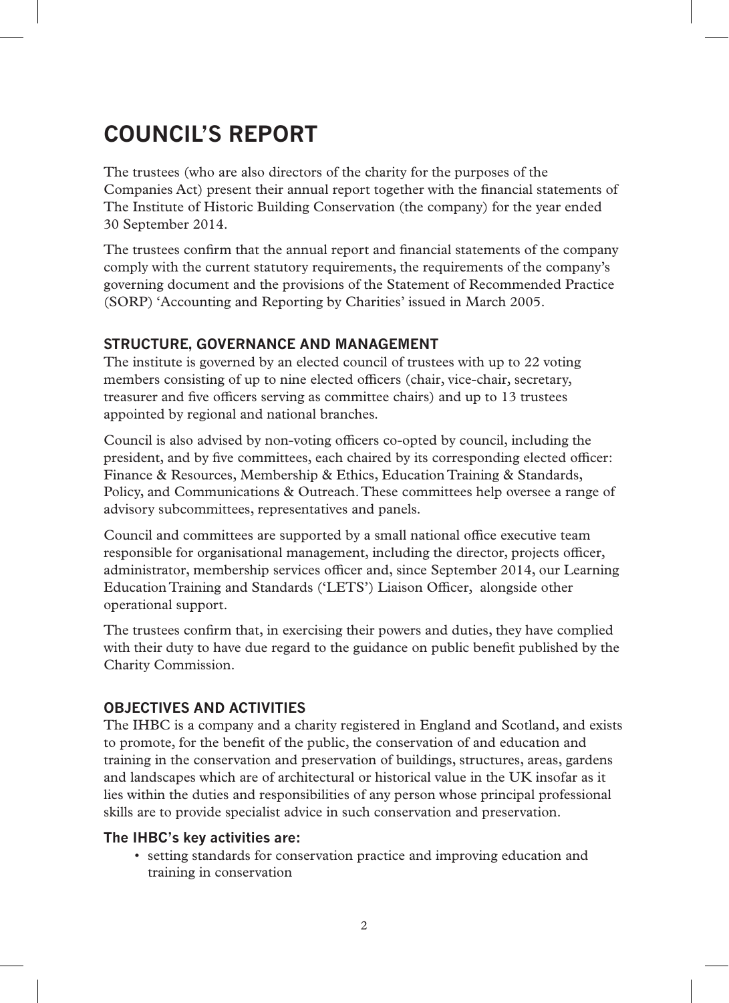# **COUNCIL'S REPORT**

The trustees (who are also directors of the charity for the purposes of the Companies Act) present their annual report together with the financial statements of The Institute of Historic Building Conservation (the company) for the year ended 30 September 2014.

The trustees confirm that the annual report and financial statements of the company comply with the current statutory requirements, the requirements of the company's governing document and the provisions of the Statement of Recommended Practice (SORP) 'Accounting and Reporting by Charities' issued in March 2005.

### **STRUCTURE, GOVERNANCE AND MANAGEMENT**

The institute is governed by an elected council of trustees with up to 22 voting members consisting of up to nine elected officers (chair, vice-chair, secretary, treasurer and five officers serving as committee chairs) and up to 13 trustees appointed by regional and national branches.

Council is also advised by non-voting officers co-opted by council, including the president, and by five committees, each chaired by its corresponding elected officer: Finance & Resources, Membership & Ethics, Education Training & Standards, Policy, and Communications & Outreach. These committees help oversee a range of advisory subcommittees, representatives and panels.

Council and committees are supported by a small national office executive team responsible for organisational management, including the director, projects officer, administrator, membership services officer and, since September 2014, our Learning Education Training and Standards ('LETS') Liaison Officer, alongside other operational support.

The trustees confirm that, in exercising their powers and duties, they have complied with their duty to have due regard to the guidance on public benefit published by the Charity Commission.

### **OBJECTIVES AND ACTIVITIES**

The IHBC is a company and a charity registered in England and Scotland, and exists to promote, for the benefit of the public, the conservation of and education and training in the conservation and preservation of buildings, structures, areas, gardens and landscapes which are of architectural or historical value in the UK insofar as it lies within the duties and responsibilities of any person whose principal professional skills are to provide specialist advice in such conservation and preservation.

#### **The IHBC's key activities are:**

• setting standards for conservation practice and improving education and training in conservation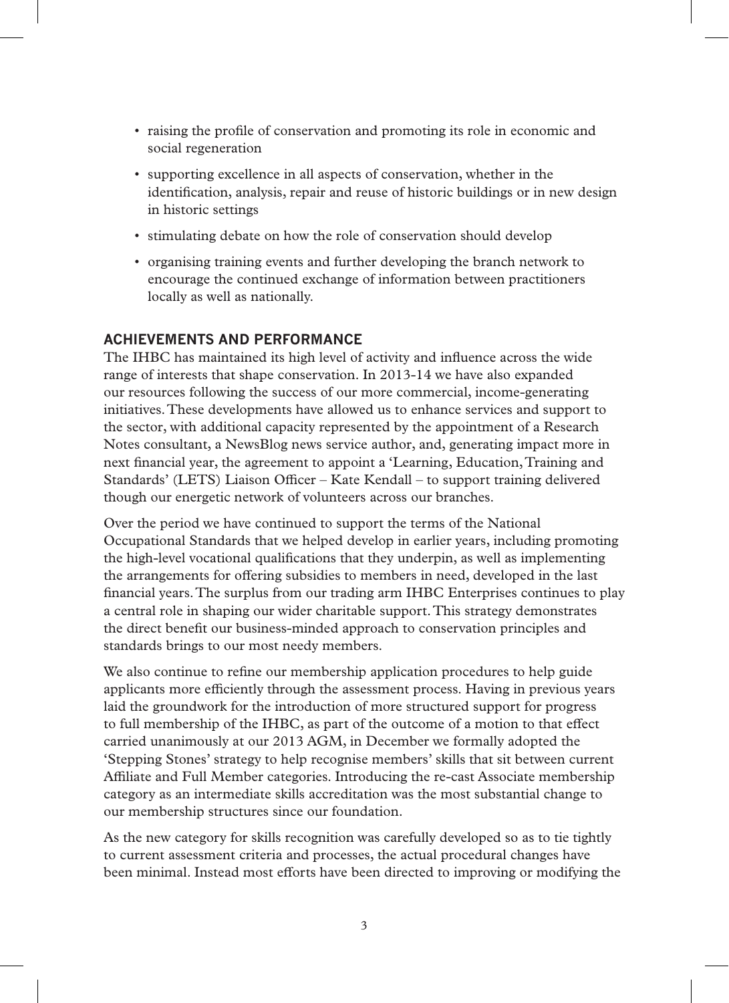- raising the profile of conservation and promoting its role in economic and social regeneration
- supporting excellence in all aspects of conservation, whether in the identification, analysis, repair and reuse of historic buildings or in new design in historic settings
- stimulating debate on how the role of conservation should develop
- organising training events and further developing the branch network to encourage the continued exchange of information between practitioners locally as well as nationally.

#### **ACHIEVEMENTS AND PERFORMANCE**

The IHBC has maintained its high level of activity and influence across the wide range of interests that shape conservation. In 2013-14 we have also expanded our resources following the success of our more commercial, income-generating initiatives. These developments have allowed us to enhance services and support to the sector, with additional capacity represented by the appointment of a Research Notes consultant, a NewsBlog news service author, and, generating impact more in next financial year, the agreement to appoint a 'Learning, Education, Training and Standards' (LETS) Liaison Officer – Kate Kendall – to support training delivered though our energetic network of volunteers across our branches.

Over the period we have continued to support the terms of the National Occupational Standards that we helped develop in earlier years, including promoting the high-level vocational qualifications that they underpin, as well as implementing the arrangements for offering subsidies to members in need, developed in the last financial years. The surplus from our trading arm IHBC Enterprises continues to play a central role in shaping our wider charitable support. This strategy demonstrates the direct benefit our business-minded approach to conservation principles and standards brings to our most needy members.

We also continue to refine our membership application procedures to help guide applicants more efficiently through the assessment process. Having in previous years laid the groundwork for the introduction of more structured support for progress to full membership of the IHBC, as part of the outcome of a motion to that effect carried unanimously at our 2013 AGM, in December we formally adopted the 'Stepping Stones' strategy to help recognise members' skills that sit between current Affiliate and Full Member categories. Introducing the re-cast Associate membership category as an intermediate skills accreditation was the most substantial change to our membership structures since our foundation.

As the new category for skills recognition was carefully developed so as to tie tightly to current assessment criteria and processes, the actual procedural changes have been minimal. Instead most efforts have been directed to improving or modifying the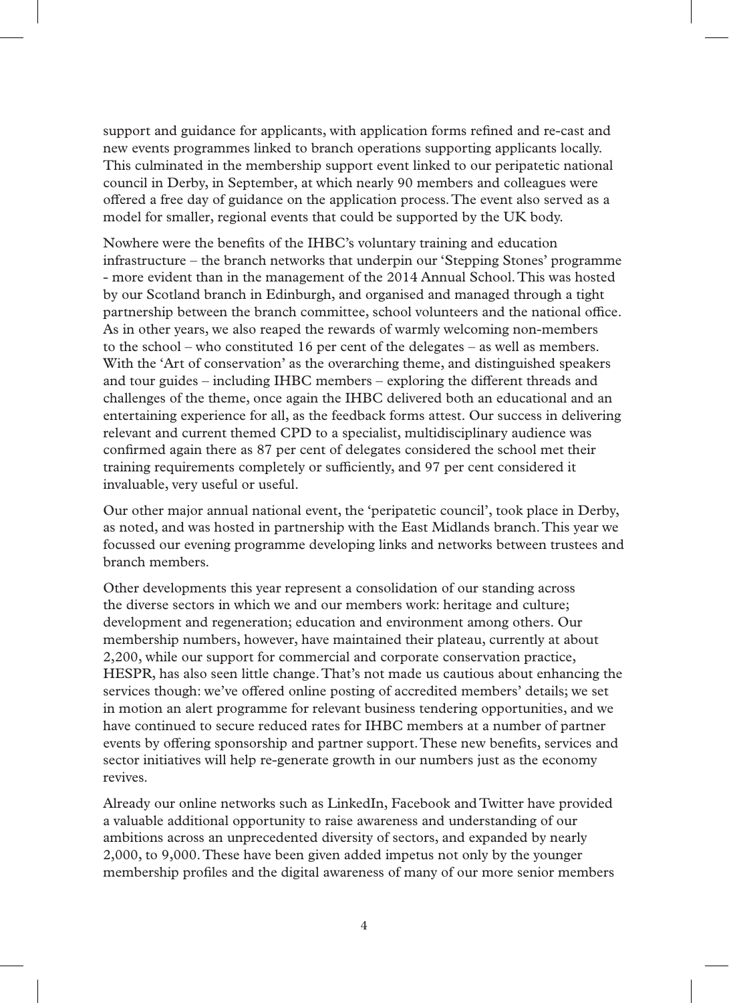support and guidance for applicants, with application forms refined and re-cast and new events programmes linked to branch operations supporting applicants locally. This culminated in the membership support event linked to our peripatetic national council in Derby, in September, at which nearly 90 members and colleagues were offered a free day of guidance on the application process. The event also served as a model for smaller, regional events that could be supported by the UK body.

Nowhere were the benefits of the IHBC's voluntary training and education infrastructure – the branch networks that underpin our 'Stepping Stones' programme - more evident than in the management of the 2014 Annual School. This was hosted by our Scotland branch in Edinburgh, and organised and managed through a tight partnership between the branch committee, school volunteers and the national office. As in other years, we also reaped the rewards of warmly welcoming non-members to the school – who constituted 16 per cent of the delegates – as well as members. With the 'Art of conservation' as the overarching theme, and distinguished speakers and tour guides – including IHBC members – exploring the different threads and challenges of the theme, once again the IHBC delivered both an educational and an entertaining experience for all, as the feedback forms attest. Our success in delivering relevant and current themed CPD to a specialist, multidisciplinary audience was confirmed again there as 87 per cent of delegates considered the school met their training requirements completely or sufficiently, and 97 per cent considered it invaluable, very useful or useful.

Our other major annual national event, the 'peripatetic council', took place in Derby, as noted, and was hosted in partnership with the East Midlands branch. This year we focussed our evening programme developing links and networks between trustees and branch members.

Other developments this year represent a consolidation of our standing across the diverse sectors in which we and our members work: heritage and culture; development and regeneration; education and environment among others. Our membership numbers, however, have maintained their plateau, currently at about 2,200, while our support for commercial and corporate conservation practice, HESPR, has also seen little change. That's not made us cautious about enhancing the services though: we've offered online posting of accredited members' details; we set in motion an alert programme for relevant business tendering opportunities, and we have continued to secure reduced rates for IHBC members at a number of partner events by offering sponsorship and partner support. These new benefits, services and sector initiatives will help re-generate growth in our numbers just as the economy revives.

Already our online networks such as LinkedIn, Facebook and Twitter have provided a valuable additional opportunity to raise awareness and understanding of our ambitions across an unprecedented diversity of sectors, and expanded by nearly 2,000, to 9,000. These have been given added impetus not only by the younger membership profiles and the digital awareness of many of our more senior members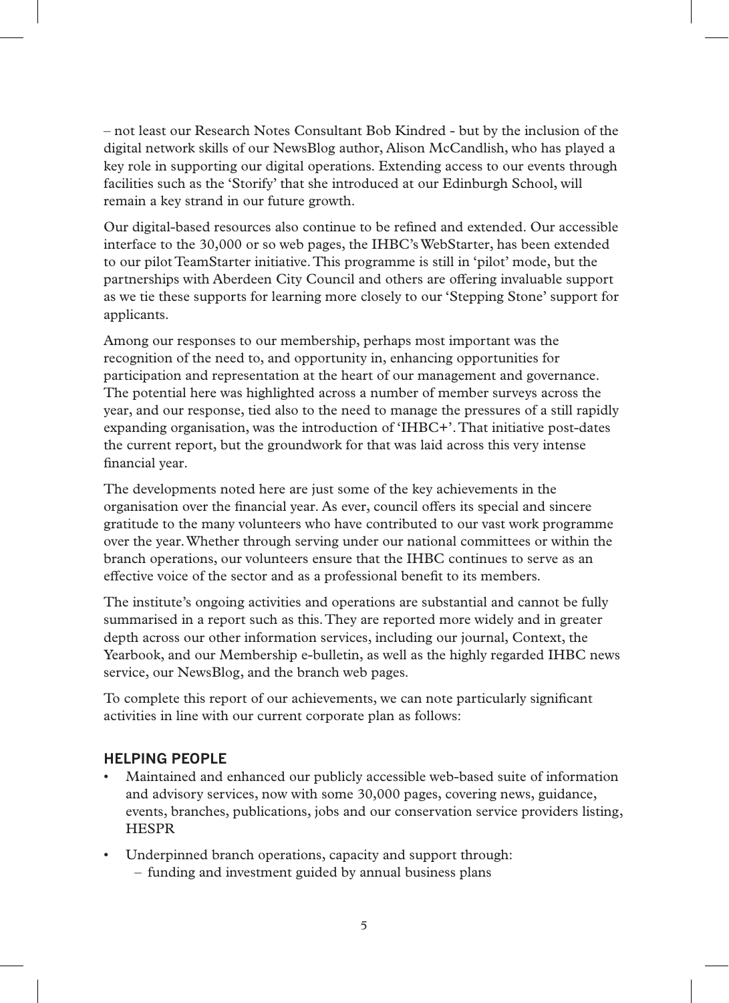– not least our Research Notes Consultant Bob Kindred - but by the inclusion of the digital network skills of our NewsBlog author, Alison McCandlish, who has played a key role in supporting our digital operations. Extending access to our events through facilities such as the 'Storify' that she introduced at our Edinburgh School, will remain a key strand in our future growth.

Our digital-based resources also continue to be refined and extended. Our accessible interface to the 30,000 or so web pages, the IHBC's WebStarter, has been extended to our pilot TeamStarter initiative. This programme is still in 'pilot' mode, but the partnerships with Aberdeen City Council and others are offering invaluable support as we tie these supports for learning more closely to our 'Stepping Stone' support for applicants.

Among our responses to our membership, perhaps most important was the recognition of the need to, and opportunity in, enhancing opportunities for participation and representation at the heart of our management and governance. The potential here was highlighted across a number of member surveys across the year, and our response, tied also to the need to manage the pressures of a still rapidly expanding organisation, was the introduction of 'IHBC+'. That initiative post-dates the current report, but the groundwork for that was laid across this very intense financial year.

The developments noted here are just some of the key achievements in the organisation over the financial year. As ever, council offers its special and sincere gratitude to the many volunteers who have contributed to our vast work programme over the year. Whether through serving under our national committees or within the branch operations, our volunteers ensure that the IHBC continues to serve as an effective voice of the sector and as a professional benefit to its members.

The institute's ongoing activities and operations are substantial and cannot be fully summarised in a report such as this. They are reported more widely and in greater depth across our other information services, including our journal, Context, the Yearbook, and our Membership e-bulletin, as well as the highly regarded IHBC news service, our NewsBlog, and the branch web pages.

To complete this report of our achievements, we can note particularly significant activities in line with our current corporate plan as follows:

#### **HELPING PEOPLE**

- Maintained and enhanced our publicly accessible web-based suite of information and advisory services, now with some 30,000 pages, covering news, guidance, events, branches, publications, jobs and our conservation service providers listing, HESPR
- Underpinned branch operations, capacity and support through: – funding and investment guided by annual business plans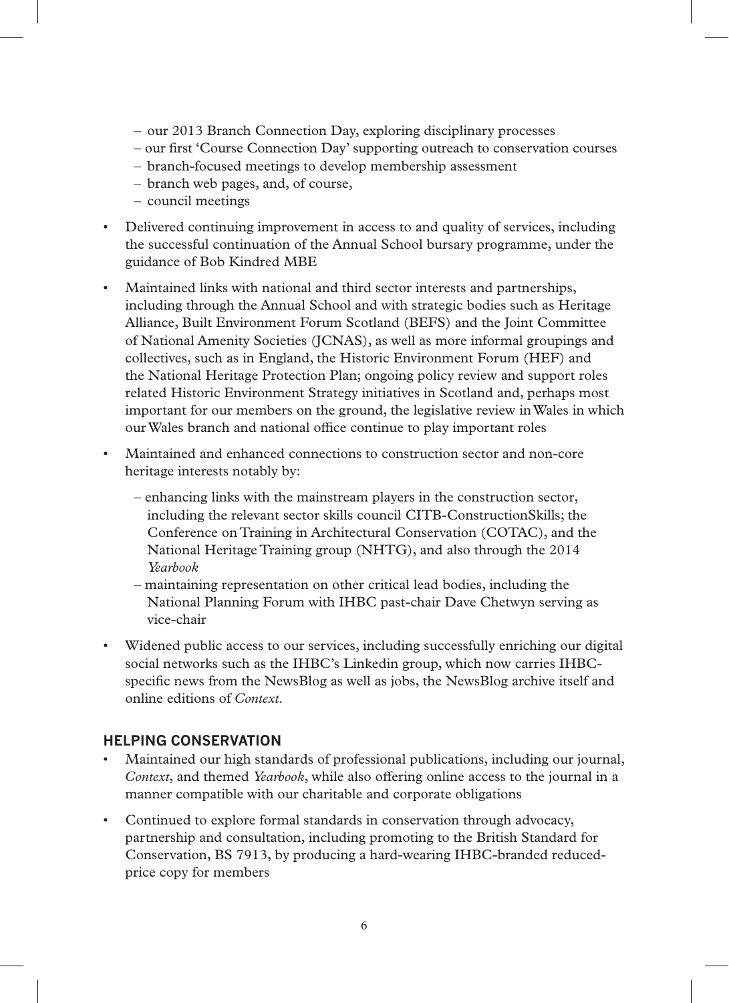- our 2013 Branch Connection Day, exploring disciplinary processes
- our first 'Course Connection Day' supporting outreach to conservation courses
- branch-focused meetings to develop membership assessment
- branch web pages, and, of course,
- council meetings
- Delivered continuing improvement in access to and quality of services, including the successful continuation of the Annual School bursary programme, under the guidance of Bob Kindred MBE
- Maintained links with national and third sector interests and partnerships, including through the Annual School and with strategic bodies such as Heritage Alliance, Built Environment Forum Scotland (BEFS) and the Joint Committee of National Amenity Societies (JCNAS), as well as more informal groupings and collectives, such as in England, the Historic Environment Forum (HEF) and the National Heritage Protection Plan; ongoing policy review and support roles related Historic Environment Strategy initiatives in Scotland and, perhaps most important for our members on the ground, the legislative review in Wales in which our Wales branch and national office continue to play important roles
- Maintained and enhanced connections to construction sector and non-core heritage interests notably by:
	- enhancing links with the mainstream players in the construction sector, including the relevant sector skills council CITB-ConstructionSkills; the Conference on Training in Architectural Conservation (COTAC), and the National Heritage Training group (NHTG), and also through the 2014 *Yearbook*
	- maintaining representation on other critical lead bodies, including the National Planning Forum with IHBC past-chair Dave Chetwyn serving as vice-chair
- Widened public access to our services, including successfully enriching our digital social networks such as the IHBC's Linkedin group, which now carries IHBCspecific news from the NewsBlog as well as jobs, the NewsBlog archive itself and online editions of *Context*.

#### **HELPING CONSERVATION**

- Maintained our high standards of professional publications, including our journal, *Context*, and themed *Yearbook*, while also offering online access to the journal in a manner compatible with our charitable and corporate obligations
- Continued to explore formal standards in conservation through advocacy, partnership and consultation, including promoting to the British Standard for Conservation, BS 7913, by producing a hard-wearing IHBC-branded reducedprice copy for members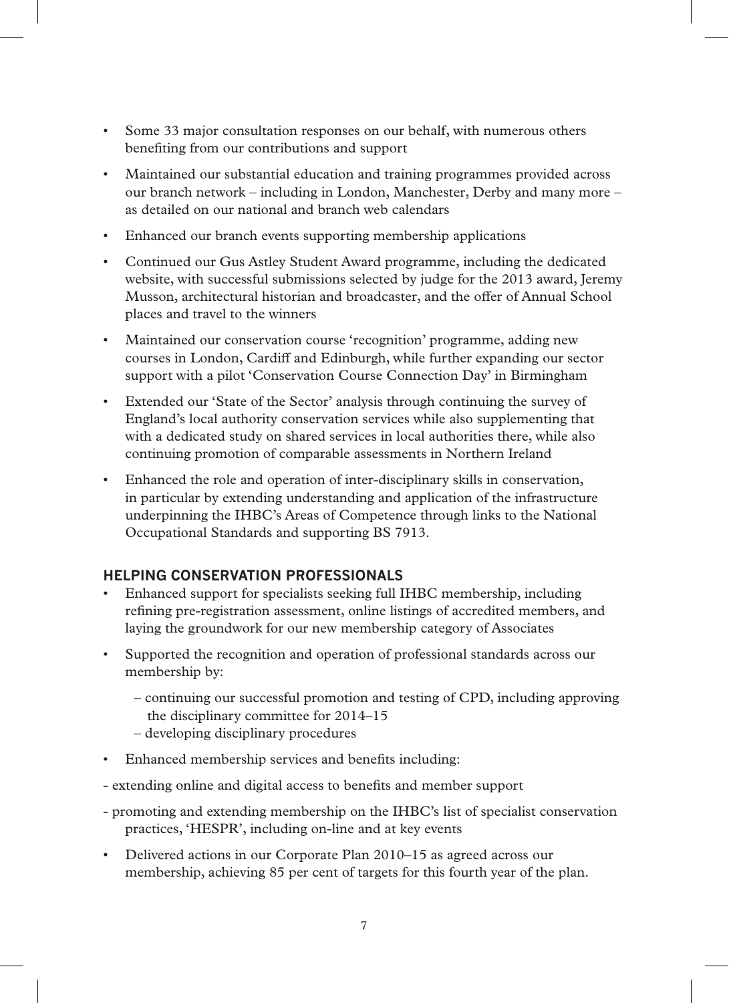- Some 33 major consultation responses on our behalf, with numerous others benefiting from our contributions and support
- Maintained our substantial education and training programmes provided across our branch network – including in London, Manchester, Derby and many more – as detailed on our national and branch web calendars
- Enhanced our branch events supporting membership applications
- Continued our Gus Astley Student Award programme, including the dedicated website, with successful submissions selected by judge for the 2013 award, Jeremy Musson, architectural historian and broadcaster, and the offer of Annual School places and travel to the winners
- Maintained our conservation course 'recognition' programme, adding new courses in London, Cardiff and Edinburgh, while further expanding our sector support with a pilot 'Conservation Course Connection Day' in Birmingham
- Extended our 'State of the Sector' analysis through continuing the survey of England's local authority conservation services while also supplementing that with a dedicated study on shared services in local authorities there, while also continuing promotion of comparable assessments in Northern Ireland
- Enhanced the role and operation of inter-disciplinary skills in conservation, in particular by extending understanding and application of the infrastructure underpinning the IHBC's Areas of Competence through links to the National Occupational Standards and supporting BS 7913.

### **HELPING CONSERVATION PROFESSIONALS**

- Enhanced support for specialists seeking full IHBC membership, including refining pre-registration assessment, online listings of accredited members, and laying the groundwork for our new membership category of Associates
- Supported the recognition and operation of professional standards across our membership by:
	- continuing our successful promotion and testing of CPD, including approving the disciplinary committee for 2014–15
	- developing disciplinary procedures
- Enhanced membership services and benefits including:
- extending online and digital access to benefits and member support
- promoting and extending membership on the IHBC's list of specialist conservation practices, 'HESPR', including on-line and at key events
- Delivered actions in our Corporate Plan 2010–15 as agreed across our membership, achieving 85 per cent of targets for this fourth year of the plan.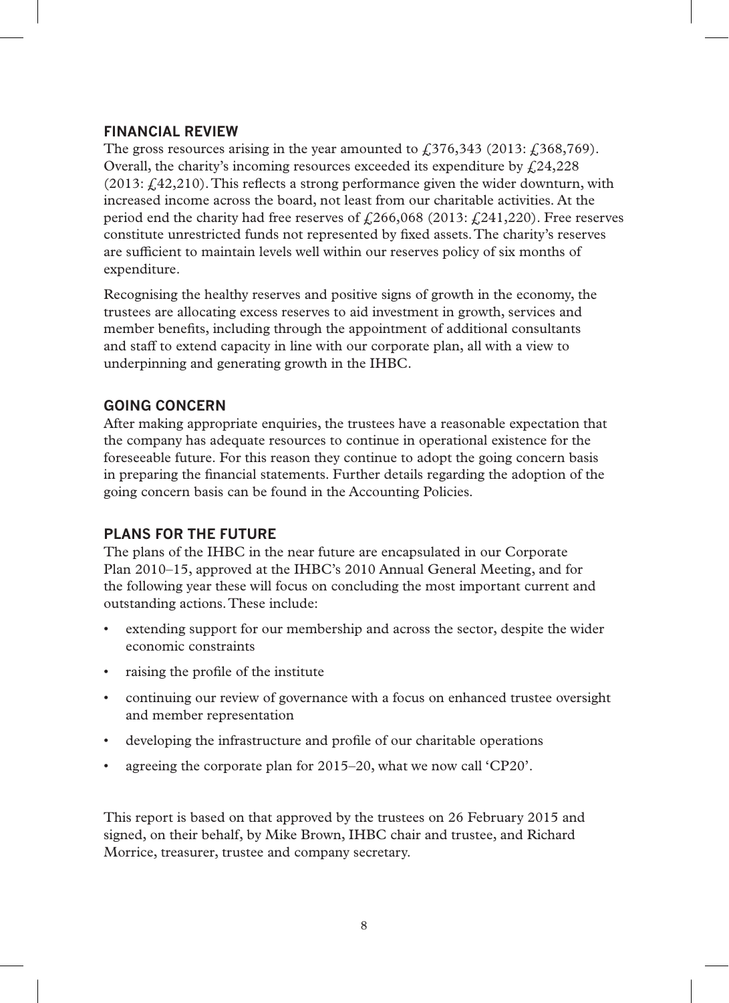#### **FINANCIAL REVIEW**

The gross resources arising in the year amounted to  $\widehat{E}$  (376,343 (2013:  $\widehat{E}$  (368,769). Overall, the charity's incoming resources exceeded its expenditure by  $\frac{1}{2}24,228$  $(2013; \text{\textsterling}42, 210)$ . This reflects a strong performance given the wider downturn, with increased income across the board, not least from our charitable activities. At the period end the charity had free reserves of  $\mathcal{L}266,068$  (2013:  $\mathcal{L}241,220$ ). Free reserves constitute unrestricted funds not represented by fixed assets. The charity's reserves are sufficient to maintain levels well within our reserves policy of six months of expenditure.

Recognising the healthy reserves and positive signs of growth in the economy, the trustees are allocating excess reserves to aid investment in growth, services and member benefits, including through the appointment of additional consultants and staff to extend capacity in line with our corporate plan, all with a view to underpinning and generating growth in the IHBC.

#### **GOING CONCERN**

After making appropriate enquiries, the trustees have a reasonable expectation that the company has adequate resources to continue in operational existence for the foreseeable future. For this reason they continue to adopt the going concern basis in preparing the financial statements. Further details regarding the adoption of the going concern basis can be found in the Accounting Policies.

#### **PLANS FOR THE FUTURE**

The plans of the IHBC in the near future are encapsulated in our Corporate Plan 2010–15, approved at the IHBC's 2010 Annual General Meeting, and for the following year these will focus on concluding the most important current and outstanding actions. These include:

- extending support for our membership and across the sector, despite the wider economic constraints
- raising the profile of the institute
- continuing our review of governance with a focus on enhanced trustee oversight and member representation
- developing the infrastructure and profile of our charitable operations
- agreeing the corporate plan for 2015–20, what we now call 'CP20'.

This report is based on that approved by the trustees on 26 February 2015 and signed, on their behalf, by Mike Brown, IHBC chair and trustee, and Richard Morrice, treasurer, trustee and company secretary.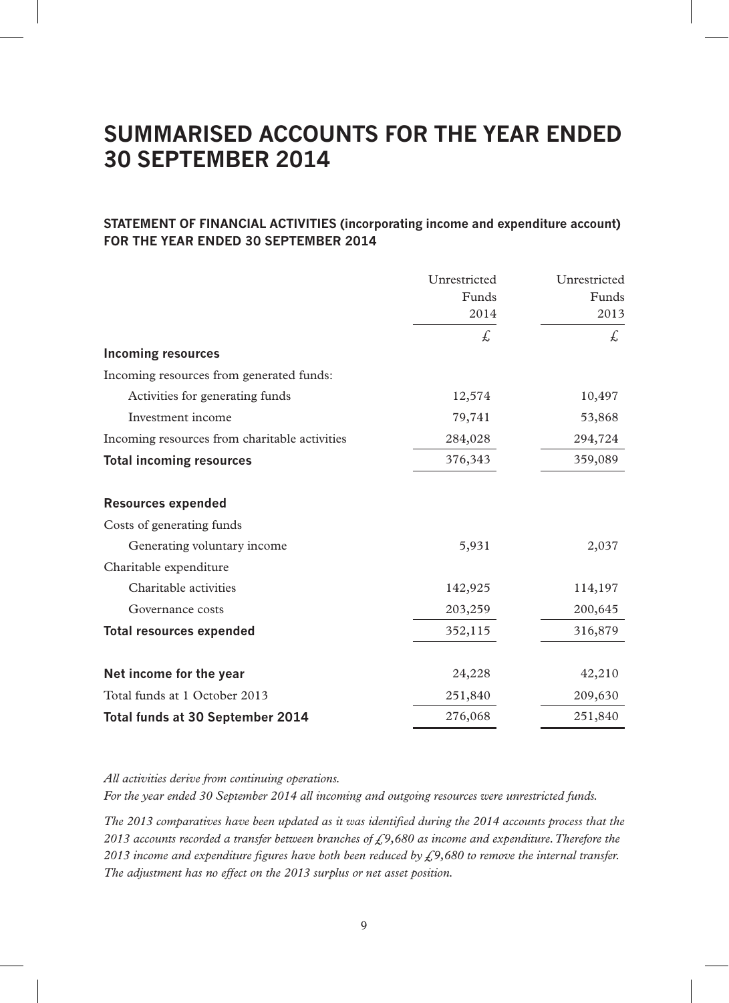## **SUMMARISED ACCOUNTS FOR THE YEAR ENDED 30 SEPTEMBER 2014**

#### **STATEMENT OF FINANCIAL ACTIVITIES (incorporating income and expenditure account) FOR THE YEAR ENDED 30 SEPTEMBER 2014**

|                                               | Unrestricted<br>Funds<br>2014 | Unrestricted<br>Funds<br>2013 |
|-----------------------------------------------|-------------------------------|-------------------------------|
|                                               | £.                            | £.                            |
| <b>Incoming resources</b>                     |                               |                               |
| Incoming resources from generated funds:      |                               |                               |
| Activities for generating funds               | 12,574                        | 10,497                        |
| Investment income                             | 79,741                        | 53,868                        |
| Incoming resources from charitable activities | 284,028                       | 294,724                       |
| <b>Total incoming resources</b>               | 376,343                       | 359,089                       |
| <b>Resources expended</b>                     |                               |                               |
| Costs of generating funds                     |                               |                               |
| Generating voluntary income                   | 5,931                         | 2,037                         |
| Charitable expenditure                        |                               |                               |
| Charitable activities                         | 142,925                       | 114,197                       |
| Governance costs                              | 203,259                       | 200,645                       |
| <b>Total resources expended</b>               | 352,115                       | 316,879                       |
| Net income for the year                       | 24,228                        | 42,210                        |
| Total funds at 1 October 2013                 | 251,840                       | 209,630                       |
| Total funds at 30 September 2014              | 276,068                       | 251,840                       |

*All activities derive from continuing operations.*

*For the year ended 30 September 2014 all incoming and outgoing resources were unrestricted funds.*

*The 2013 comparatives have been updated as it was identified during the 2014 accounts process that the 2013 accounts recorded a transfer between branches of £9,680 as income and expenditure. Therefore the 2013 income and expenditure figures have both been reduced by £9,680 to remove the internal transfer. The adjustment has no effect on the 2013 surplus or net asset position.*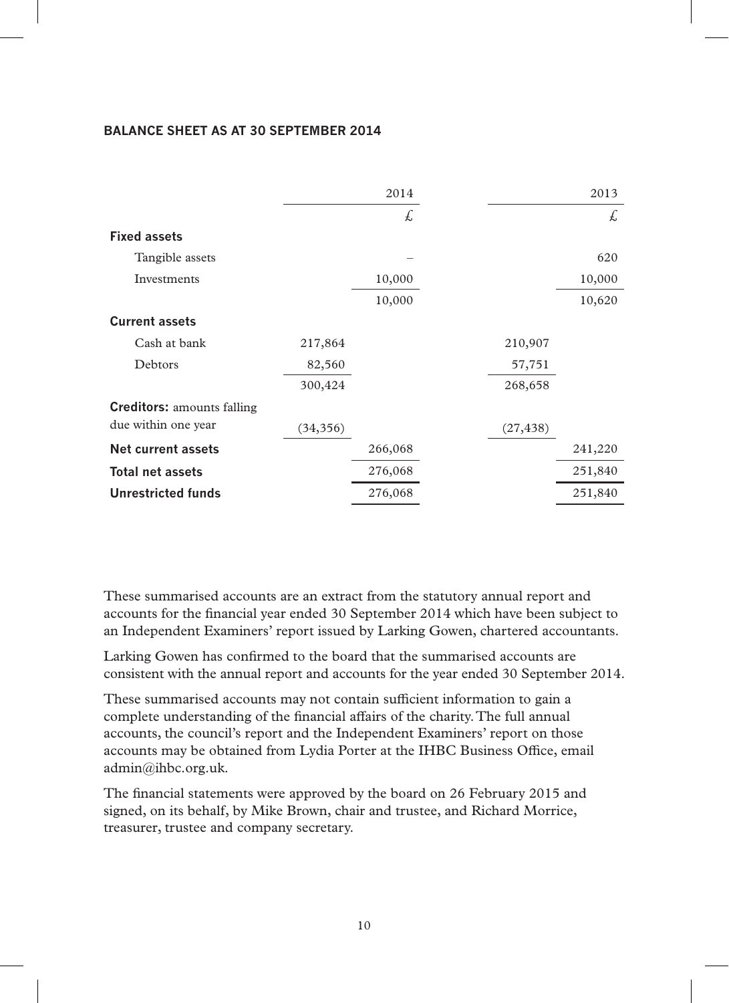#### **BALANCE SHEET AS AT 30 SEPTEMBER 2014**

|                                   |           | 2014    |           | 2013    |
|-----------------------------------|-----------|---------|-----------|---------|
|                                   |           | £,      |           | £,      |
| <b>Fixed assets</b>               |           |         |           |         |
| Tangible assets                   |           |         |           | 620     |
| Investments                       |           | 10,000  |           | 10,000  |
|                                   |           | 10,000  |           | 10,620  |
| <b>Current assets</b>             |           |         |           |         |
| Cash at bank                      | 217,864   |         | 210,907   |         |
| Debtors                           | 82,560    |         | 57,751    |         |
|                                   | 300,424   |         | 268,658   |         |
| <b>Creditors:</b> amounts falling |           |         |           |         |
| due within one year               | (34, 356) |         | (27, 438) |         |
| Net current assets                |           | 266,068 |           | 241,220 |
| <b>Total net assets</b>           |           | 276,068 |           | 251,840 |
| <b>Unrestricted funds</b>         |           | 276,068 |           | 251,840 |

These summarised accounts are an extract from the statutory annual report and accounts for the financial year ended 30 September 2014 which have been subject to an Independent Examiners' report issued by Larking Gowen, chartered accountants.

Larking Gowen has confirmed to the board that the summarised accounts are consistent with the annual report and accounts for the year ended 30 September 2014.

These summarised accounts may not contain sufficient information to gain a complete understanding of the financial affairs of the charity. The full annual accounts, the council's report and the Independent Examiners' report on those accounts may be obtained from Lydia Porter at the IHBC Business Office, email admin@ihbc.org.uk.

The financial statements were approved by the board on 26 February 2015 and signed, on its behalf, by Mike Brown, chair and trustee, and Richard Morrice, treasurer, trustee and company secretary.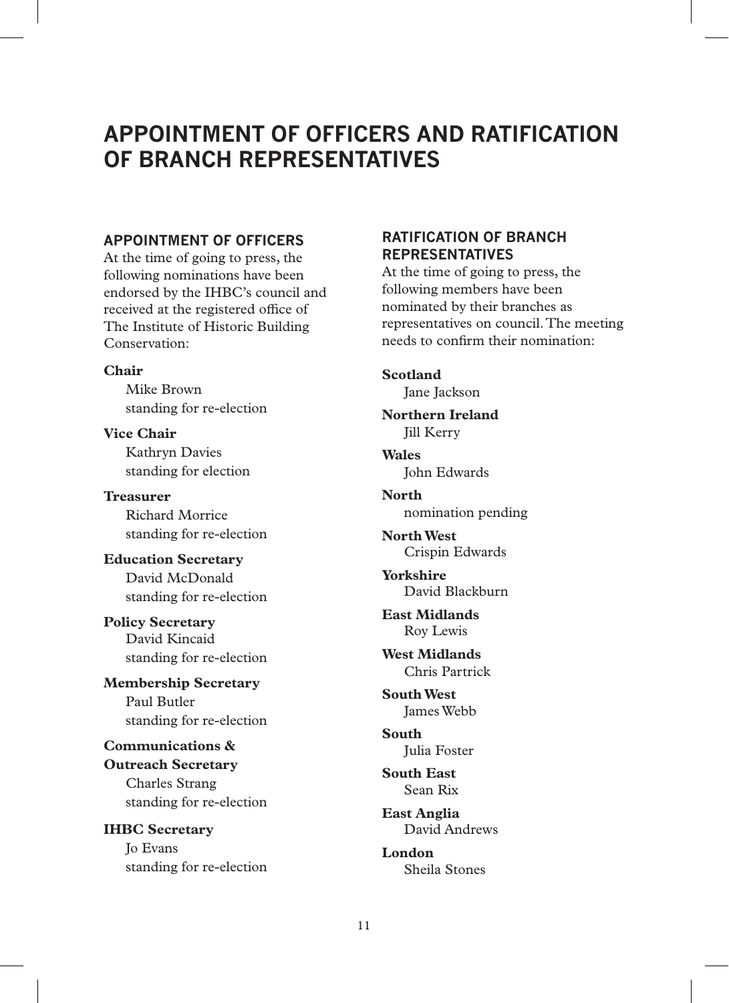## **APPOINTMENT OF OFFICERS AND RATIFICATION OF BRANCH REPRESENTATIVES**

#### **APPOINTMENT OF OFFICERS**

At the time of going to press, the following nominations have been endorsed by the IHBC's council and received at the registered office of The Institute of Historic Building Conservation:

#### **Chair**

Mike Brown standing for re-election

**Vice Chair** Kathryn Davies standing for election

**Treasurer** Richard Morrice standing for re-election

**Education Secretary** David McDonald standing for re-election

**Policy Secretary** David Kincaid standing for re-election

**Membership Secretary** Paul Butler standing for re-election

**Communications & Outreach Secretary** Charles Strang standing for re-election

**IHBC Secretary** Jo Evans standing for re-election

## **RATIFICATION OF BRANCH REPRESENTATIVES**

At the time of going to press, the following members have been nominated by their branches as representatives on council. The meeting needs to confirm their nomination:

**Scotland** Jane Jackson

**Northern Ireland** Jill Kerry

**Wales** John Edwards

**North** nomination pending

**North West** Crispin Edwards

**Yorkshire** David Blackburn

**East Midlands** Roy Lewis

**West Midlands** Chris Partrick

**South West** James Webb

**South** Julia Foster

**South East** Sean Rix

**East Anglia** David Andrews

**London** Sheila Stones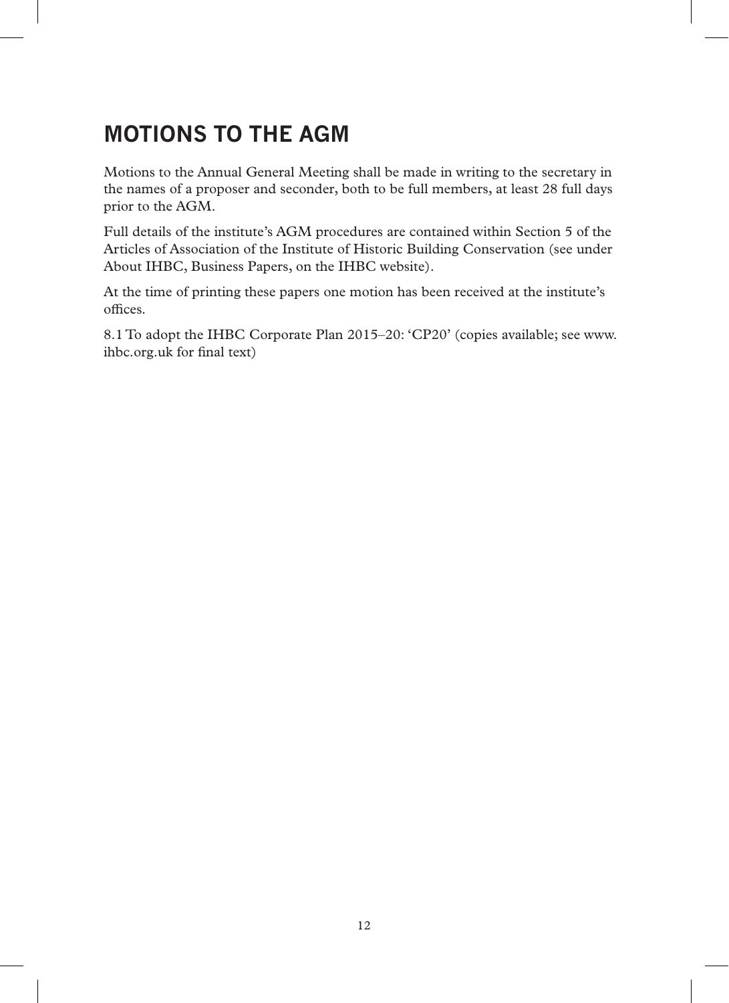# **MOTIONS TO THE AGM**

Motions to the Annual General Meeting shall be made in writing to the secretary in the names of a proposer and seconder, both to be full members, at least 28 full days prior to the AGM.

Full details of the institute's AGM procedures are contained within Section 5 of the Articles of Association of the Institute of Historic Building Conservation (see under About IHBC, Business Papers, on the IHBC website).

At the time of printing these papers one motion has been received at the institute's offices.

8.1 To adopt the IHBC Corporate Plan 2015–20: 'CP20' (copies available; see www. ihbc.org.uk for final text)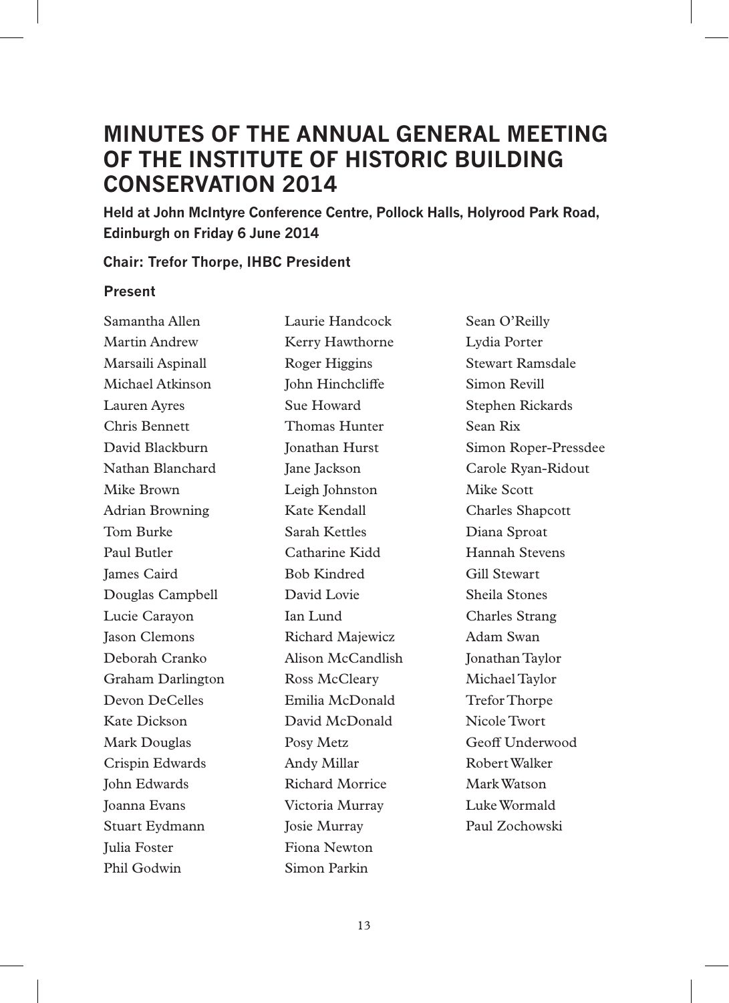## **MINUTES OF THE ANNUAL GENERAL MEETING OF THE INSTITUTE OF HISTORIC BUILDING CONSERVATION 2014**

**Held at John McIntyre Conference Centre, Pollock Halls, Holyrood Park Road, Edinburgh on Friday 6 June 2014**

#### **Chair: Trefor Thorpe, IHBC President**

#### **Present**

Samantha Allen Martin Andrew Marsaili Aspinall Michael Atkinson Lauren Ayres Chris Bennett David Blackburn Nathan Blanchard Mike Brown Adrian Browning Tom Burke Paul Butler James Caird Douglas Campbell Lucie Carayon Jason Clemons Deborah Cranko Graham Darlington Devon DeCelles Kate Dickson Mark Douglas Crispin Edwards John Edwards Joanna Evans Stuart Eydmann Julia Foster Phil Godwin

Laurie Handcock Kerry Hawthorne Roger Higgins John Hinchcliffe Sue Howard Thomas Hunter Jonathan Hurst Jane Jackson Leigh Johnston Kate Kendall Sarah Kettles Catharine Kidd Bob Kindred David Lovie Ian Lund Richard Majewicz Alison McCandlish Ross McCleary Emilia McDonald David McDonald Posy Metz Andy Millar Richard Morrice Victoria Murray Josie Murray Fiona Newton Simon Parkin

Sean O'Reilly Lydia Porter Stewart Ramsdale Simon Revill Stephen Rickards Sean Rix Simon Roper-Pressdee Carole Ryan-Ridout Mike Scott Charles Shapcott Diana Sproat Hannah Stevens Gill Stewart Sheila Stones Charles Strang Adam Swan Jonathan Taylor Michael Taylor Trefor Thorpe Nicole Twort Geoff Underwood Robert Walker Mark Watson Luke Wormald Paul Zochowski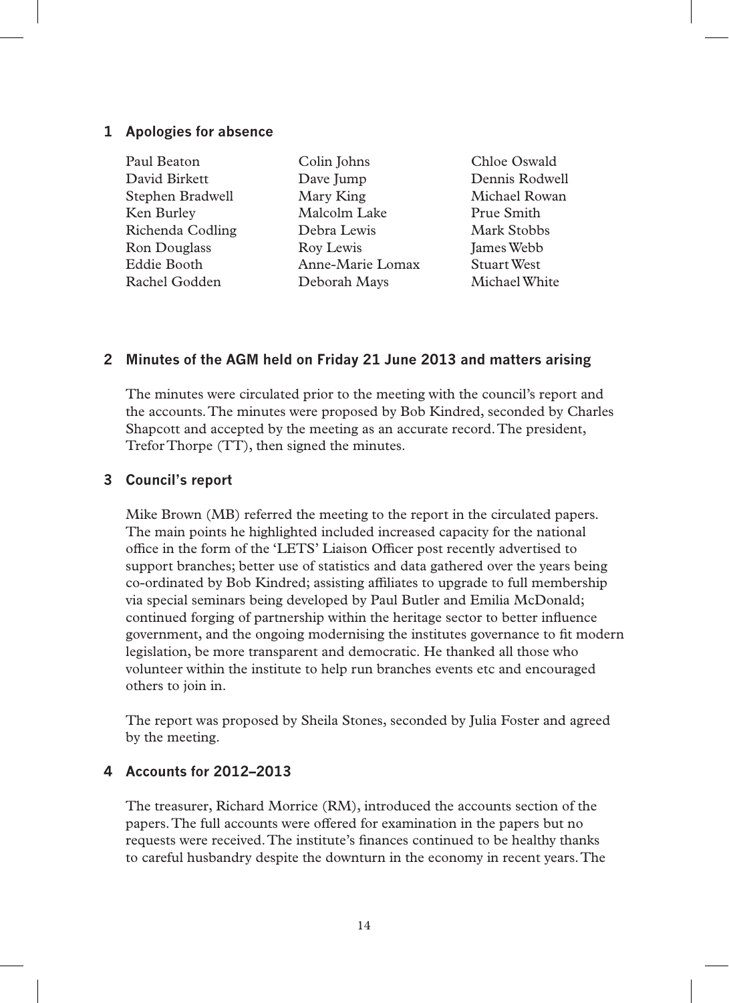#### **1 Apologies for absence**

| Paul Beaton      | Colin Johns      | Chloe Oswald       |
|------------------|------------------|--------------------|
| David Birkett    | Dave Jump        | Dennis Rodwell     |
| Stephen Bradwell | Mary King        | Michael Rowan      |
| Ken Burley       | Malcolm Lake     | Prue Smith         |
| Richenda Codling | Debra Lewis      | <b>Mark Stobbs</b> |
| Ron Douglass     | Roy Lewis        | James Webb         |
| Eddie Booth      | Anne-Marie Lomax | <b>Stuart West</b> |
| Rachel Godden    | Deborah Mays     | Michael White      |

#### **2 Minutes of the AGM held on Friday 21 June 2013 and matters arising**

The minutes were circulated prior to the meeting with the council's report and the accounts. The minutes were proposed by Bob Kindred, seconded by Charles Shapcott and accepted by the meeting as an accurate record. The president, Trefor Thorpe (TT), then signed the minutes.

#### **3 Council's report**

Mike Brown (MB) referred the meeting to the report in the circulated papers. The main points he highlighted included increased capacity for the national office in the form of the 'LETS' Liaison Officer post recently advertised to support branches; better use of statistics and data gathered over the years being co-ordinated by Bob Kindred; assisting affiliates to upgrade to full membership via special seminars being developed by Paul Butler and Emilia McDonald; continued forging of partnership within the heritage sector to better influence government, and the ongoing modernising the institutes governance to fit modern legislation, be more transparent and democratic. He thanked all those who volunteer within the institute to help run branches events etc and encouraged others to join in.

The report was proposed by Sheila Stones, seconded by Julia Foster and agreed by the meeting.

#### **4 Accounts for 2012–2013**

The treasurer, Richard Morrice (RM), introduced the accounts section of the papers. The full accounts were offered for examination in the papers but no requests were received. The institute's finances continued to be healthy thanks to careful husbandry despite the downturn in the economy in recent years. The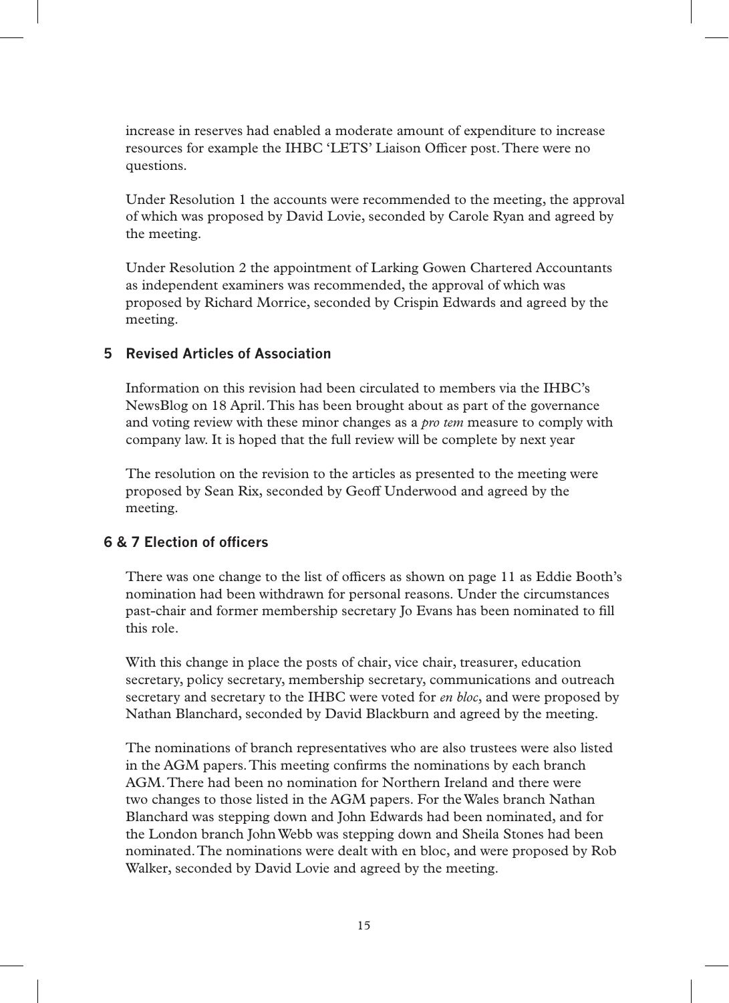increase in reserves had enabled a moderate amount of expenditure to increase resources for example the IHBC 'LETS' Liaison Officer post. There were no questions.

Under Resolution 1 the accounts were recommended to the meeting, the approval of which was proposed by David Lovie, seconded by Carole Ryan and agreed by the meeting.

Under Resolution 2 the appointment of Larking Gowen Chartered Accountants as independent examiners was recommended, the approval of which was proposed by Richard Morrice, seconded by Crispin Edwards and agreed by the meeting.

## **5 Revised Articles of Association**

Information on this revision had been circulated to members via the IHBC's NewsBlog on 18 April. This has been brought about as part of the governance and voting review with these minor changes as a *pro tem* measure to comply with company law. It is hoped that the full review will be complete by next year

The resolution on the revision to the articles as presented to the meeting were proposed by Sean Rix, seconded by Geoff Underwood and agreed by the meeting.

#### **6 & 7 Election of officers**

There was one change to the list of officers as shown on page 11 as Eddie Booth's nomination had been withdrawn for personal reasons. Under the circumstances past-chair and former membership secretary Jo Evans has been nominated to fill this role.

With this change in place the posts of chair, vice chair, treasurer, education secretary, policy secretary, membership secretary, communications and outreach secretary and secretary to the IHBC were voted for *en bloc*, and were proposed by Nathan Blanchard, seconded by David Blackburn and agreed by the meeting.

The nominations of branch representatives who are also trustees were also listed in the AGM papers. This meeting confirms the nominations by each branch AGM. There had been no nomination for Northern Ireland and there were two changes to those listed in the AGM papers. For the Wales branch Nathan Blanchard was stepping down and John Edwards had been nominated, and for the London branch John Webb was stepping down and Sheila Stones had been nominated. The nominations were dealt with en bloc, and were proposed by Rob Walker, seconded by David Lovie and agreed by the meeting.